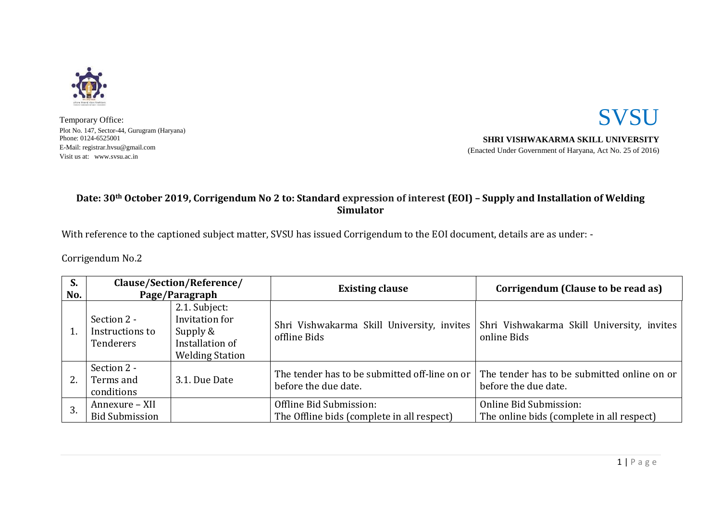

Temporary Office: Plot No. 147, Sector-44, Gurugram (Haryana) Phone: 0124-6525001 E-Mail: registrar.hvsu@gmail.com Visit us at: www.svsu.ac.in

**SVSU** 

**SHRI VISHWAKARMA SKILL UNIVERSITY**

(Enacted Under Government of Haryana, Act No. 25 of 2016)

### **Date: 30th October 2019, Corrigendum No 2 to: Standard expression of interest (EOI) – Supply and Installation of Welding Simulator**

With reference to the captioned subject matter, SVSU has issued Corrigendum to the EOI document, details are as under: -

Corrigendum No.2

| S.<br>No. | Clause/Section/Reference/<br>Page/Paragraph |                                                                                          | <b>Existing clause</b>                                                | Corrigendum (Clause to be read as)                                  |
|-----------|---------------------------------------------|------------------------------------------------------------------------------------------|-----------------------------------------------------------------------|---------------------------------------------------------------------|
|           | Section 2 -<br>Instructions to<br>Tenderers | 2.1. Subject:<br>Invitation for<br>Supply &<br>Installation of<br><b>Welding Station</b> | Shri Vishwakarma Skill University, invites<br>offline Bids            | Shri Vishwakarma Skill University, invites<br>online Bids           |
|           | Section 2 -<br>Terms and<br>conditions      | 3.1. Due Date                                                                            | The tender has to be submitted off-line on or<br>before the due date. | The tender has to be submitted online on or<br>before the due date. |
| 3.        | Annexure - XII<br><b>Bid Submission</b>     |                                                                                          | Offline Bid Submission:<br>The Offline bids (complete in all respect) | Online Bid Submission:<br>The online bids (complete in all respect) |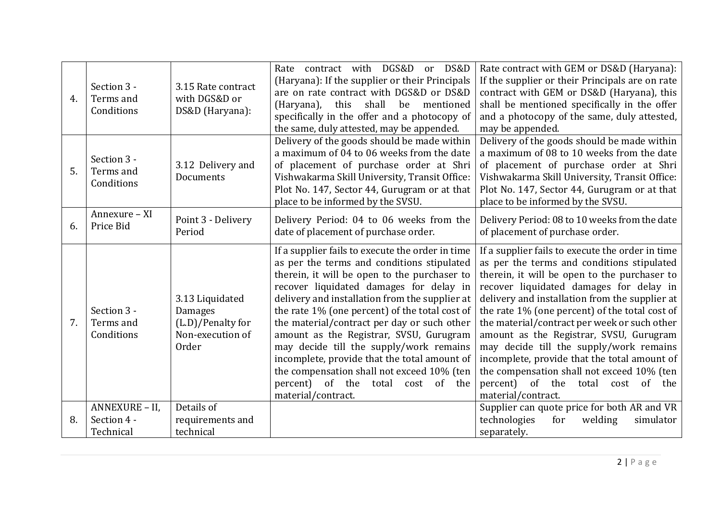| 4. | Section 3 -<br>Terms and<br>Conditions     | 3.15 Rate contract<br>with DGS&D or<br>DS&D (Haryana):                                     | Rate contract with DGS&D or DS&D<br>(Haryana): If the supplier or their Principals<br>are on rate contract with DGS&D or DS&D<br>shall<br>(Haryana),<br>this<br>be<br>mentioned<br>specifically in the offer and a photocopy of<br>the same, duly attested, may be appended.                                                                                                                                                                                                                                                                                                                | Rate contract with GEM or DS&D (Haryana):<br>If the supplier or their Principals are on rate<br>contract with GEM or DS&D (Haryana), this<br>shall be mentioned specifically in the offer<br>and a photocopy of the same, duly attested,<br>may be appended.                                                                                                                                                                                                                                                                                                                                 |  |
|----|--------------------------------------------|--------------------------------------------------------------------------------------------|---------------------------------------------------------------------------------------------------------------------------------------------------------------------------------------------------------------------------------------------------------------------------------------------------------------------------------------------------------------------------------------------------------------------------------------------------------------------------------------------------------------------------------------------------------------------------------------------|----------------------------------------------------------------------------------------------------------------------------------------------------------------------------------------------------------------------------------------------------------------------------------------------------------------------------------------------------------------------------------------------------------------------------------------------------------------------------------------------------------------------------------------------------------------------------------------------|--|
| 5. | Section 3 -<br>Terms and<br>Conditions     | 3.12 Delivery and<br>Documents                                                             | Delivery of the goods should be made within<br>a maximum of 04 to 06 weeks from the date<br>of placement of purchase order at Shri<br>Vishwakarma Skill University, Transit Office:<br>Plot No. 147, Sector 44, Gurugram or at that<br>place to be informed by the SVSU.                                                                                                                                                                                                                                                                                                                    | Delivery of the goods should be made within<br>a maximum of 08 to 10 weeks from the date<br>of placement of purchase order at Shri<br>Vishwakarma Skill University, Transit Office:<br>Plot No. 147, Sector 44, Gurugram or at that<br>place to be informed by the SVSU.                                                                                                                                                                                                                                                                                                                     |  |
| 6. | Annexure - XI<br>Price Bid                 | Point 3 - Delivery<br>Period                                                               | Delivery Period: 04 to 06 weeks from the<br>date of placement of purchase order.                                                                                                                                                                                                                                                                                                                                                                                                                                                                                                            | Delivery Period: 08 to 10 weeks from the date<br>of placement of purchase order.                                                                                                                                                                                                                                                                                                                                                                                                                                                                                                             |  |
| 7. | Section 3 -<br>Terms and<br>Conditions     | 3.13 Liquidated<br><b>Damages</b><br>(L.D)/Penalty for<br>Non-execution of<br><b>Order</b> | If a supplier fails to execute the order in time<br>as per the terms and conditions stipulated<br>therein, it will be open to the purchaser to<br>recover liquidated damages for delay in<br>delivery and installation from the supplier at<br>the rate 1% (one percent) of the total cost of<br>the material/contract per day or such other<br>amount as the Registrar, SVSU, Gurugram<br>may decide till the supply/work remains<br>incomplete, provide that the total amount of<br>the compensation shall not exceed 10% (ten<br>percent) of the total cost of the<br>material/contract. | If a supplier fails to execute the order in time<br>as per the terms and conditions stipulated<br>therein, it will be open to the purchaser to<br>recover liquidated damages for delay in<br>delivery and installation from the supplier at<br>the rate 1% (one percent) of the total cost of<br>the material/contract per week or such other<br>amount as the Registrar, SVSU, Gurugram<br>may decide till the supply/work remains<br>incomplete, provide that the total amount of<br>the compensation shall not exceed 10% (ten<br>percent) of the total cost of the<br>material/contract. |  |
| 8. | ANNEXURE - II,<br>Section 4 -<br>Technical | Details of<br>requirements and<br>technical                                                |                                                                                                                                                                                                                                                                                                                                                                                                                                                                                                                                                                                             | Supplier can quote price for both AR and VR<br>technologies<br>for<br>welding<br>simulator<br>separately.                                                                                                                                                                                                                                                                                                                                                                                                                                                                                    |  |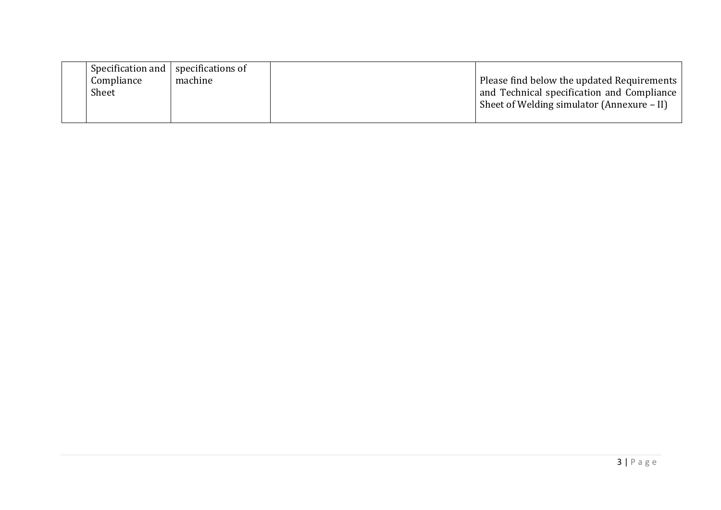| Specification and $ $ specifications of |         |                                            |
|-----------------------------------------|---------|--------------------------------------------|
| Compliance                              | machine | Please find below the updated Requirements |
| Sheet                                   |         | and Technical specification and Compliance |
|                                         |         | Sheet of Welding simulator (Annexure – II) |
|                                         |         |                                            |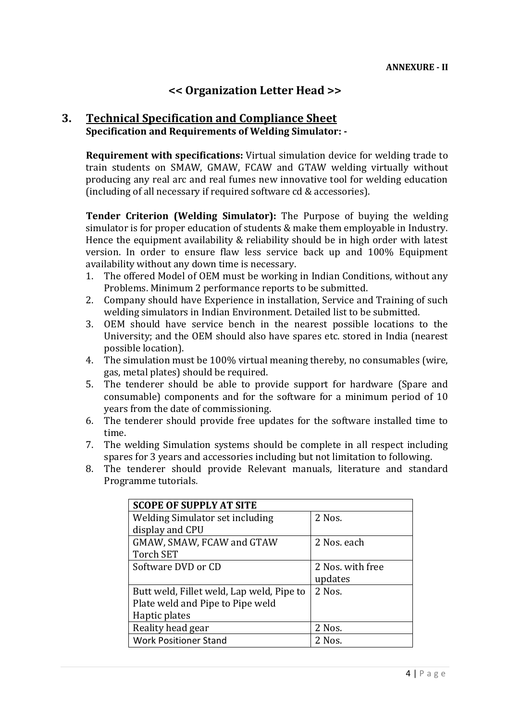# **<< Organization Letter Head >>**

## **3. Technical Specification and Compliance Sheet Specification and Requirements of Welding Simulator: -**

**Requirement with specifications:** Virtual simulation device for welding trade to train students on SMAW, GMAW, FCAW and GTAW welding virtually without producing any real arc and real fumes new innovative tool for welding education (including of all necessary if required software cd & accessories).

**Tender Criterion (Welding Simulator):** The Purpose of buying the welding simulator is for proper education of students & make them employable in Industry. Hence the equipment availability & reliability should be in high order with latest version. In order to ensure flaw less service back up and 100% Equipment availability without any down time is necessary.

- 1. The offered Model of OEM must be working in Indian Conditions, without any Problems. Minimum 2 performance reports to be submitted.
- 2. Company should have Experience in installation, Service and Training of such welding simulators in Indian Environment. Detailed list to be submitted.
- 3. OEM should have service bench in the nearest possible locations to the University; and the OEM should also have spares etc. stored in India (nearest possible location).
- 4. The simulation must be 100% virtual meaning thereby, no consumables (wire, gas, metal plates) should be required.
- 5. The tenderer should be able to provide support for hardware (Spare and consumable) components and for the software for a minimum period of 10 years from the date of commissioning.
- 6. The tenderer should provide free updates for the software installed time to time.
- 7. The welding Simulation systems should be complete in all respect including spares for 3 years and accessories including but not limitation to following.
- 8. The tenderer should provide Relevant manuals, literature and standard Programme tutorials.

| <b>SCOPE OF SUPPLY AT SITE</b>            |                  |
|-------------------------------------------|------------------|
| Welding Simulator set including           | 2 Nos.           |
| display and CPU                           |                  |
| GMAW, SMAW, FCAW and GTAW                 | 2 Nos. each      |
| <b>Torch SET</b>                          |                  |
| Software DVD or CD                        | 2 Nos. with free |
|                                           | updates          |
| Butt weld, Fillet weld, Lap weld, Pipe to | 2 Nos.           |
| Plate weld and Pipe to Pipe weld          |                  |
| Haptic plates                             |                  |
| Reality head gear                         | 2 Nos.           |
| <b>Work Positioner Stand</b>              | 2 Nos.           |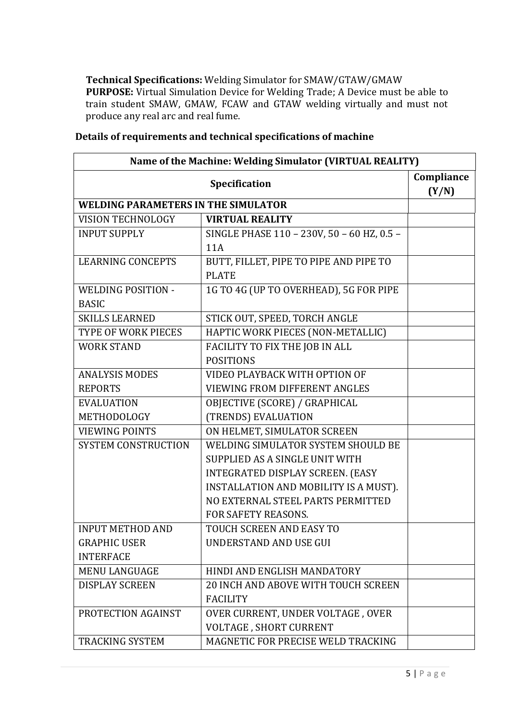**Technical Specifications:** Welding Simulator for SMAW/GTAW/GMAW **PURPOSE:** Virtual Simulation Device for Welding Trade; A Device must be able to train student SMAW, GMAW, FCAW and GTAW welding virtually and must not produce any real arc and real fume.

| Name of the Machine: Welding Simulator (VIRTUAL REALITY) |                                            |  |  |
|----------------------------------------------------------|--------------------------------------------|--|--|
|                                                          | Compliance<br>(Y/N)                        |  |  |
| <b>WELDING PARAMETERS IN THE SIMULATOR</b>               |                                            |  |  |
| <b>VISION TECHNOLOGY</b>                                 | <b>VIRTUAL REALITY</b>                     |  |  |
| <b>INPUT SUPPLY</b>                                      | SINGLE PHASE 110 - 230V, 50 - 60 HZ, 0.5 - |  |  |
|                                                          | <b>11A</b>                                 |  |  |
| <b>LEARNING CONCEPTS</b>                                 | BUTT, FILLET, PIPE TO PIPE AND PIPE TO     |  |  |
|                                                          | <b>PLATE</b>                               |  |  |
| <b>WELDING POSITION -</b>                                | 1G TO 4G (UP TO OVERHEAD), 5G FOR PIPE     |  |  |
| <b>BASIC</b>                                             |                                            |  |  |
| <b>SKILLS LEARNED</b>                                    | STICK OUT, SPEED, TORCH ANGLE              |  |  |
| <b>TYPE OF WORK PIECES</b>                               | HAPTIC WORK PIECES (NON-METALLIC)          |  |  |
| <b>WORK STAND</b>                                        | FACILITY TO FIX THE JOB IN ALL             |  |  |
|                                                          | <b>POSITIONS</b>                           |  |  |
| <b>ANALYSIS MODES</b>                                    | VIDEO PLAYBACK WITH OPTION OF              |  |  |
| <b>REPORTS</b>                                           | <b>VIEWING FROM DIFFERENT ANGLES</b>       |  |  |
| <b>EVALUATION</b>                                        | OBJECTIVE (SCORE) / GRAPHICAL              |  |  |
| METHODOLOGY                                              | (TRENDS) EVALUATION                        |  |  |
| <b>VIEWING POINTS</b>                                    | ON HELMET, SIMULATOR SCREEN                |  |  |
| <b>SYSTEM CONSTRUCTION</b>                               | WELDING SIMULATOR SYSTEM SHOULD BE         |  |  |
|                                                          | SUPPLIED AS A SINGLE UNIT WITH             |  |  |
|                                                          | INTEGRATED DISPLAY SCREEN. (EASY           |  |  |
|                                                          | INSTALLATION AND MOBILITY IS A MUST).      |  |  |
|                                                          | NO EXTERNAL STEEL PARTS PERMITTED          |  |  |
|                                                          | <b>FOR SAFETY REASONS.</b>                 |  |  |
| <b>INPUT METHOD AND</b>                                  | TOUCH SCREEN AND EASY TO                   |  |  |
| <b>GRAPHIC USER</b>                                      | <b>UNDERSTAND AND USE GUI</b>              |  |  |
| <b>INTERFACE</b>                                         |                                            |  |  |
| <b>MENU LANGUAGE</b>                                     | HINDI AND ENGLISH MANDATORY                |  |  |
| <b>DISPLAY SCREEN</b>                                    | <b>20 INCH AND ABOVE WITH TOUCH SCREEN</b> |  |  |
|                                                          | <b>FACILITY</b>                            |  |  |
| PROTECTION AGAINST                                       | OVER CURRENT, UNDER VOLTAGE, OVER          |  |  |
|                                                          | <b>VOLTAGE, SHORT CURRENT</b>              |  |  |
| <b>TRACKING SYSTEM</b>                                   | MAGNETIC FOR PRECISE WELD TRACKING         |  |  |

### **Details of requirements and technical specifications of machine**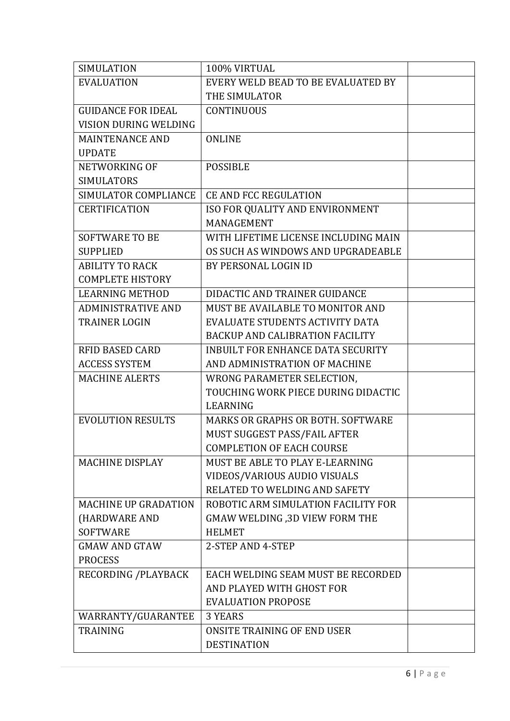| <b>SIMULATION</b>           | 100% VIRTUAL                             |  |
|-----------------------------|------------------------------------------|--|
| <b>EVALUATION</b>           | EVERY WELD BEAD TO BE EVALUATED BY       |  |
|                             | THE SIMULATOR                            |  |
| <b>GUIDANCE FOR IDEAL</b>   | <b>CONTINUOUS</b>                        |  |
| VISION DURING WELDING       |                                          |  |
| <b>MAINTENANCE AND</b>      | <b>ONLINE</b>                            |  |
| <b>UPDATE</b>               |                                          |  |
| NETWORKING OF               | <b>POSSIBLE</b>                          |  |
| <b>SIMULATORS</b>           |                                          |  |
| SIMULATOR COMPLIANCE        | <b>CE AND FCC REGULATION</b>             |  |
| <b>CERTIFICATION</b>        | ISO FOR QUALITY AND ENVIRONMENT          |  |
|                             | MANAGEMENT                               |  |
| <b>SOFTWARE TO BE</b>       | WITH LIFETIME LICENSE INCLUDING MAIN     |  |
| <b>SUPPLIED</b>             | OS SUCH AS WINDOWS AND UPGRADEABLE       |  |
| <b>ABILITY TO RACK</b>      | BY PERSONAL LOGIN ID                     |  |
| <b>COMPLETE HISTORY</b>     |                                          |  |
| <b>LEARNING METHOD</b>      | DIDACTIC AND TRAINER GUIDANCE            |  |
| <b>ADMINISTRATIVE AND</b>   | MUST BE AVAILABLE TO MONITOR AND         |  |
| <b>TRAINER LOGIN</b>        | EVALUATE STUDENTS ACTIVITY DATA          |  |
|                             | <b>BACKUP AND CALIBRATION FACILITY</b>   |  |
| <b>RFID BASED CARD</b>      | INBUILT FOR ENHANCE DATA SECURITY        |  |
| <b>ACCESS SYSTEM</b>        | AND ADMINISTRATION OF MACHINE            |  |
| <b>MACHINE ALERTS</b>       | WRONG PARAMETER SELECTION,               |  |
|                             | TOUCHING WORK PIECE DURING DIDACTIC      |  |
|                             | <b>LEARNING</b>                          |  |
| <b>EVOLUTION RESULTS</b>    | <b>MARKS OR GRAPHS OR BOTH. SOFTWARE</b> |  |
|                             | MUST SUGGEST PASS/FAIL AFTER             |  |
|                             | <b>COMPLETION OF EACH COURSE</b>         |  |
| <b>MACHINE DISPLAY</b>      | MUST BE ABLE TO PLAY E-LEARNING          |  |
|                             | VIDEOS/VARIOUS AUDIO VISUALS             |  |
|                             | RELATED TO WELDING AND SAFETY            |  |
| <b>MACHINE UP GRADATION</b> | ROBOTIC ARM SIMULATION FACILITY FOR      |  |
| (HARDWARE AND               | GMAW WELDING ,3D VIEW FORM THE           |  |
| <b>SOFTWARE</b>             | <b>HELMET</b>                            |  |
| <b>GMAW AND GTAW</b>        | 2-STEP AND 4-STEP                        |  |
| <b>PROCESS</b>              |                                          |  |
| RECORDING / PLAYBACK        | EACH WELDING SEAM MUST BE RECORDED       |  |
|                             | AND PLAYED WITH GHOST FOR                |  |
|                             | <b>EVALUATION PROPOSE</b>                |  |
| WARRANTY/GUARANTEE          | <b>3 YEARS</b>                           |  |
| <b>TRAINING</b>             | ONSITE TRAINING OF END USER              |  |
|                             | <b>DESTINATION</b>                       |  |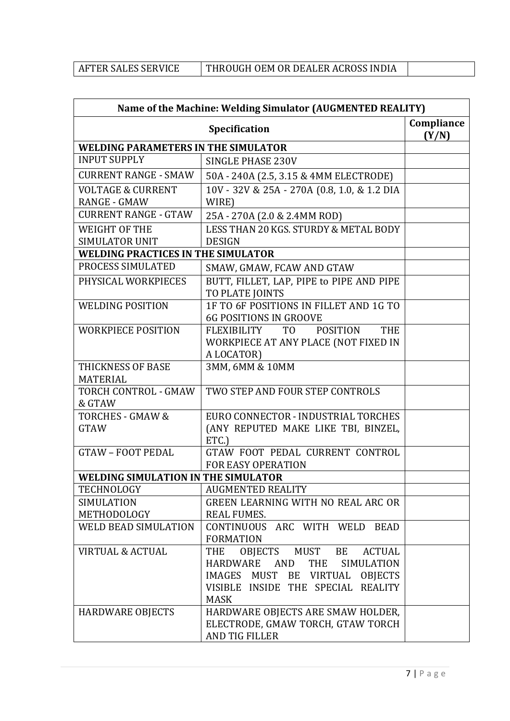| Name of the Machine: Welding Simulator (AUGMENTED REALITY)      |                                                                                                             |  |  |
|-----------------------------------------------------------------|-------------------------------------------------------------------------------------------------------------|--|--|
|                                                                 | Compliance<br>(Y/N)                                                                                         |  |  |
| <b>WELDING PARAMETERS IN THE SIMULATOR</b>                      |                                                                                                             |  |  |
| <b>INPUT SUPPLY</b>                                             | <b>SINGLE PHASE 230V</b>                                                                                    |  |  |
| <b>CURRENT RANGE - SMAW</b>                                     | 50A - 240A (2.5, 3.15 & 4MM ELECTRODE)                                                                      |  |  |
| <b>VOLTAGE &amp; CURRENT</b>                                    | 10V - 32V & 25A - 270A (0.8, 1.0, & 1.2 DIA                                                                 |  |  |
| <b>RANGE - GMAW</b>                                             | WIRE)                                                                                                       |  |  |
| <b>CURRENT RANGE - GTAW</b>                                     | 25A - 270A (2.0 & 2.4MM ROD)                                                                                |  |  |
| <b>WEIGHT OF THE</b>                                            | LESS THAN 20 KGS. STURDY & METAL BODY                                                                       |  |  |
| SIMULATOR UNIT                                                  | <b>DESIGN</b>                                                                                               |  |  |
| <b>WELDING PRACTICES IN THE SIMULATOR</b>                       |                                                                                                             |  |  |
| PROCESS SIMULATED                                               | SMAW, GMAW, FCAW AND GTAW                                                                                   |  |  |
| PHYSICAL WORKPIECES                                             | BUTT, FILLET, LAP, PIPE to PIPE AND PIPE<br>TO PLATE JOINTS                                                 |  |  |
| <b>WELDING POSITION</b>                                         | 1F TO 6F POSITIONS IN FILLET AND 1G TO<br><b>6G POSITIONS IN GROOVE</b>                                     |  |  |
| <b>WORKPIECE POSITION</b>                                       | <b>POSITION</b><br>FLEXIBILITY<br>TO TO<br><b>THE</b><br>WORKPIECE AT ANY PLACE (NOT FIXED IN<br>A LOCATOR) |  |  |
| THICKNESS OF BASE<br><b>MATERIAL</b>                            | 3MM, 6MM & 10MM                                                                                             |  |  |
| TORCH CONTROL - GMAW<br>& GTAW                                  | TWO STEP AND FOUR STEP CONTROLS                                                                             |  |  |
| <b>TORCHES - GMAW &amp;</b>                                     | EURO CONNECTOR - INDUSTRIAL TORCHES                                                                         |  |  |
| <b>GTAW</b>                                                     | (ANY REPUTED MAKE LIKE TBI, BINZEL,<br>ETC.)                                                                |  |  |
| <b>GTAW - FOOT PEDAL</b>                                        | GTAW FOOT PEDAL CURRENT CONTROL                                                                             |  |  |
|                                                                 | <b>FOR EASY OPERATION</b>                                                                                   |  |  |
| <b>WELDING SIMULATION IN THE SIMULATOR</b><br><b>TECHNOLOGY</b> | <b>AUGMENTED REALITY</b>                                                                                    |  |  |
| <b>SIMULATION</b>                                               | GREEN LEARNING WITH NO REAL ARC OR                                                                          |  |  |
| METHODOLOGY                                                     | <b>REAL FUMES.</b>                                                                                          |  |  |
| <b>WELD BEAD SIMULATION</b>                                     | CONTINUOUS ARC WITH WELD<br><b>BEAD</b>                                                                     |  |  |
|                                                                 | <b>FORMATION</b>                                                                                            |  |  |
| <b>VIRTUAL &amp; ACTUAL</b>                                     | OBJECTS<br>MUST<br><b>ACTUAL</b><br><b>THE</b><br>BE                                                        |  |  |
|                                                                 | <b>HARDWARE</b><br>AND<br><b>THE</b><br><b>SIMULATION</b>                                                   |  |  |
|                                                                 | IMAGES MUST BE VIRTUAL<br><b>OBJECTS</b>                                                                    |  |  |
|                                                                 | VISIBLE INSIDE THE SPECIAL REALITY<br><b>MASK</b>                                                           |  |  |
| <b>HARDWARE OBJECTS</b>                                         | HARDWARE OBJECTS ARE SMAW HOLDER,                                                                           |  |  |
|                                                                 | ELECTRODE, GMAW TORCH, GTAW TORCH<br>AND TIG FILLER                                                         |  |  |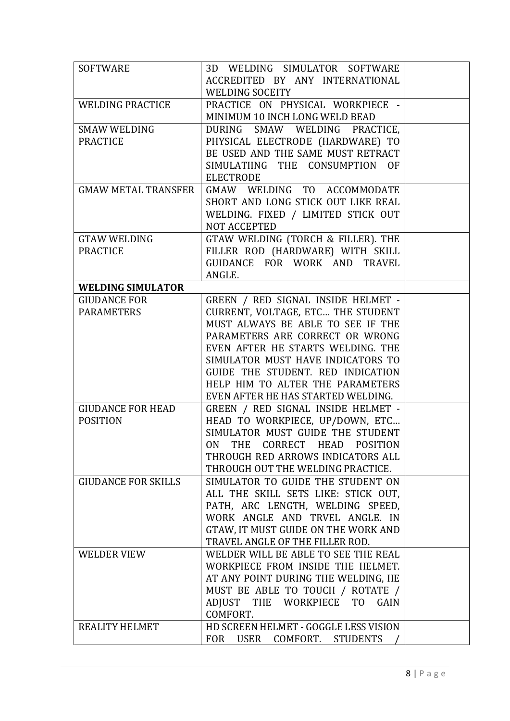| <b>SOFTWARE</b>            | 3D WELDING SIMULATOR SOFTWARE                            |  |
|----------------------------|----------------------------------------------------------|--|
|                            | ACCREDITED BY ANY INTERNATIONAL                          |  |
|                            | <b>WELDING SOCEITY</b>                                   |  |
| <b>WELDING PRACTICE</b>    | PRACTICE ON PHYSICAL WORKPIECE -                         |  |
|                            | MINIMUM 10 INCH LONG WELD BEAD                           |  |
| <b>SMAW WELDING</b>        | DURING SMAW WELDING PRACTICE,                            |  |
| <b>PRACTICE</b>            | PHYSICAL ELECTRODE (HARDWARE) TO                         |  |
|                            | BE USED AND THE SAME MUST RETRACT                        |  |
|                            | SIMULATIING THE CONSUMPTION OF                           |  |
|                            | <b>ELECTRODE</b>                                         |  |
|                            |                                                          |  |
| <b>GMAW METAL TRANSFER</b> | GMAW WELDING TO ACCOMMODATE                              |  |
|                            | SHORT AND LONG STICK OUT LIKE REAL                       |  |
|                            | WELDING. FIXED / LIMITED STICK OUT                       |  |
|                            | <b>NOT ACCEPTED</b>                                      |  |
| <b>GTAW WELDING</b>        | GTAW WELDING (TORCH & FILLER). THE                       |  |
| <b>PRACTICE</b>            | FILLER ROD (HARDWARE) WITH SKILL                         |  |
|                            | GUIDANCE FOR WORK AND TRAVEL                             |  |
|                            | ANGLE.                                                   |  |
| <b>WELDING SIMULATOR</b>   |                                                          |  |
| <b>GIUDANCE FOR</b>        | GREEN / RED SIGNAL INSIDE HELMET -                       |  |
| <b>PARAMETERS</b>          | CURRENT, VOLTAGE, ETC THE STUDENT                        |  |
|                            | MUST ALWAYS BE ABLE TO SEE IF THE                        |  |
|                            | PARAMETERS ARE CORRECT OR WRONG                          |  |
|                            | EVEN AFTER HE STARTS WELDING. THE                        |  |
|                            | SIMULATOR MUST HAVE INDICATORS TO                        |  |
|                            | GUIDE THE STUDENT. RED INDICATION                        |  |
|                            | HELP HIM TO ALTER THE PARAMETERS                         |  |
|                            | EVEN AFTER HE HAS STARTED WELDING.                       |  |
| <b>GIUDANCE FOR HEAD</b>   | GREEN / RED SIGNAL INSIDE HELMET -                       |  |
| <b>POSITION</b>            | HEAD TO WORKPIECE, UP/DOWN, ETC                          |  |
|                            | SIMULATOR MUST GUIDE THE STUDENT                         |  |
|                            | ON THE CORRECT HEAD POSITION                             |  |
|                            | THROUGH RED ARROWS INDICATORS ALL                        |  |
|                            | THROUGH OUT THE WELDING PRACTICE.                        |  |
| <b>GIUDANCE FOR SKILLS</b> | SIMULATOR TO GUIDE THE STUDENT ON                        |  |
|                            |                                                          |  |
|                            | ALL THE SKILL SETS LIKE: STICK OUT,                      |  |
|                            | PATH, ARC LENGTH, WELDING SPEED,                         |  |
|                            | WORK ANGLE AND TRVEL ANGLE. IN                           |  |
|                            | GTAW, IT MUST GUIDE ON THE WORK AND                      |  |
|                            | TRAVEL ANGLE OF THE FILLER ROD.                          |  |
| <b>WELDER VIEW</b>         | WELDER WILL BE ABLE TO SEE THE REAL                      |  |
|                            | WORKPIECE FROM INSIDE THE HELMET.                        |  |
|                            | AT ANY POINT DURING THE WELDING, HE                      |  |
|                            | MUST BE ABLE TO TOUCH / ROTATE /                         |  |
|                            | THE WORKPIECE<br>T <sub>0</sub><br>ADJUST<br><b>GAIN</b> |  |
|                            | COMFORT.                                                 |  |
| REALITY HELMET             | HD SCREEN HELMET - GOGGLE LESS VISION                    |  |
|                            | FOR USER COMFORT. STUDENTS                               |  |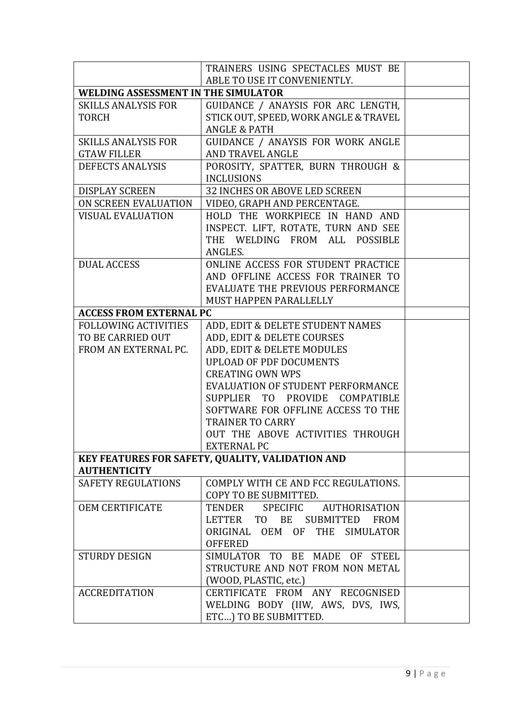|                                     | TRAINERS USING SPECTACLES MUST BE                       |  |  |  |
|-------------------------------------|---------------------------------------------------------|--|--|--|
|                                     | ABLE TO USE IT CONVENIENTLY.                            |  |  |  |
| WELDING ASSESSMENT IN THE SIMULATOR |                                                         |  |  |  |
| <b>SKILLS ANALYSIS FOR</b>          | GUIDANCE / ANAYSIS FOR ARC LENGTH,                      |  |  |  |
| <b>TORCH</b>                        | STICK OUT, SPEED, WORK ANGLE & TRAVEL                   |  |  |  |
|                                     | <b>ANGLE &amp; PATH</b>                                 |  |  |  |
| <b>SKILLS ANALYSIS FOR</b>          | GUIDANCE / ANAYSIS FOR WORK ANGLE                       |  |  |  |
| <b>GTAW FILLER</b>                  | <b>AND TRAVEL ANGLE</b>                                 |  |  |  |
| <b>DEFECTS ANALYSIS</b>             | POROSITY, SPATTER, BURN THROUGH &                       |  |  |  |
|                                     | <b>INCLUSIONS</b>                                       |  |  |  |
| <b>DISPLAY SCREEN</b>               | 32 INCHES OR ABOVE LED SCREEN                           |  |  |  |
| ON SCREEN EVALUATION                | VIDEO, GRAPH AND PERCENTAGE.                            |  |  |  |
| <b>VISUAL EVALUATION</b>            | HOLD THE WORKPIECE IN HAND AND                          |  |  |  |
|                                     | INSPECT. LIFT, ROTATE, TURN AND SEE                     |  |  |  |
|                                     | THE WELDING FROM ALL POSSIBLE                           |  |  |  |
|                                     | ANGLES.                                                 |  |  |  |
| <b>DUAL ACCESS</b>                  | ONLINE ACCESS FOR STUDENT PRACTICE                      |  |  |  |
|                                     | AND OFFLINE ACCESS FOR TRAINER TO                       |  |  |  |
|                                     | EVALUATE THE PREVIOUS PERFORMANCE                       |  |  |  |
|                                     | MUST HAPPEN PARALLELLY                                  |  |  |  |
| <b>ACCESS FROM EXTERNAL PC</b>      |                                                         |  |  |  |
| <b>FOLLOWING ACTIVITIES</b>         | ADD, EDIT & DELETE STUDENT NAMES                        |  |  |  |
| TO BE CARRIED OUT                   | ADD, EDIT & DELETE COURSES                              |  |  |  |
| FROM AN EXTERNAL PC.                | ADD, EDIT & DELETE MODULES                              |  |  |  |
|                                     | <b>UPLOAD OF PDF DOCUMENTS</b>                          |  |  |  |
|                                     | <b>CREATING OWN WPS</b>                                 |  |  |  |
|                                     | EVALUATION OF STUDENT PERFORMANCE                       |  |  |  |
|                                     | SUPPLIER TO PROVIDE COMPATIBLE                          |  |  |  |
|                                     | SOFTWARE FOR OFFLINE ACCESS TO THE                      |  |  |  |
|                                     | <b>TRAINER TO CARRY</b>                                 |  |  |  |
|                                     | OUT THE ABOVE ACTIVITIES THROUGH                        |  |  |  |
|                                     | <b>EXTERNAL PC</b>                                      |  |  |  |
|                                     | <b>KEY FEATURES FOR SAFETY, QUALITY, VALIDATION AND</b> |  |  |  |
| <b>AUTHENTICITY</b>                 |                                                         |  |  |  |
| <b>SAFETY REGULATIONS</b>           | COMPLY WITH CE AND FCC REGULATIONS.                     |  |  |  |
|                                     | COPY TO BE SUBMITTED.                                   |  |  |  |
| <b>OEM CERTIFICATE</b>              | <b>SPECIFIC</b><br><b>AUTHORISATION</b><br>TENDER       |  |  |  |
|                                     | LETTER TO<br>BE<br><b>SUBMITTED</b><br><b>FROM</b>      |  |  |  |
|                                     | ORIGINAL OEM OF THE<br><b>SIMULATOR</b>                 |  |  |  |
|                                     | <b>OFFERED</b>                                          |  |  |  |
| <b>STURDY DESIGN</b>                | SIMULATOR TO BE MADE OF STEEL                           |  |  |  |
|                                     | STRUCTURE AND NOT FROM NON METAL                        |  |  |  |
|                                     | (WOOD, PLASTIC, etc.)                                   |  |  |  |
| <b>ACCREDITATION</b>                | CERTIFICATE FROM ANY RECOGNISED                         |  |  |  |
|                                     | WELDING BODY (IIW, AWS, DVS, IWS,                       |  |  |  |
|                                     | ETC) TO BE SUBMITTED.                                   |  |  |  |